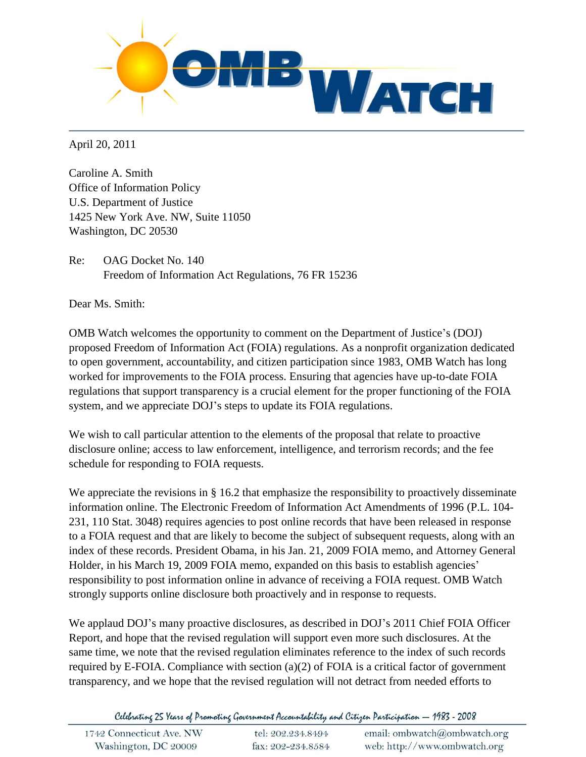

April 20, 2011

Caroline A. Smith Office of Information Policy U.S. Department of Justice 1425 New York Ave. NW, Suite 11050 Washington, DC 20530

Re: OAG Docket No. 140 Freedom of Information Act Regulations, 76 FR 15236

Dear Ms. Smith:

OMB Watch welcomes the opportunity to comment on the Department of Justice's (DOJ) proposed Freedom of Information Act (FOIA) regulations. As a nonprofit organization dedicated to open government, accountability, and citizen participation since 1983, OMB Watch has long worked for improvements to the FOIA process. Ensuring that agencies have up-to-date FOIA regulations that support transparency is a crucial element for the proper functioning of the FOIA system, and we appreciate DOJ's steps to update its FOIA regulations.

We wish to call particular attention to the elements of the proposal that relate to proactive disclosure online; access to law enforcement, intelligence, and terrorism records; and the fee schedule for responding to FOIA requests.

We appreciate the revisions in § 16.2 that emphasize the responsibility to proactively disseminate information online. The Electronic Freedom of Information Act Amendments of 1996 (P.L. 104- 231, 110 Stat. 3048) requires agencies to post online records that have been released in response to a FOIA request and that are likely to become the subject of subsequent requests, along with an index of these records. President Obama, in his Jan. 21, 2009 FOIA memo, and Attorney General Holder, in his March 19, 2009 FOIA memo, expanded on this basis to establish agencies' responsibility to post information online in advance of receiving a FOIA request. OMB Watch strongly supports online disclosure both proactively and in response to requests.

We applaud DOJ's many proactive disclosures, as described in DOJ's 2011 Chief FOIA Officer Report, and hope that the revised regulation will support even more such disclosures. At the same time, we note that the revised regulation eliminates reference to the index of such records required by E-FOIA. Compliance with section (a)(2) of FOIA is a critical factor of government transparency, and we hope that the revised regulation will not detract from needed efforts to

Celebrating 25 Years of Promoting Government Accountability and Citizen Participation — 1983 - 2008

| 1742 Connecticut Ave. NW | tel: 202.234.8494 | email: ombwatch@ombwatch.org |
|--------------------------|-------------------|------------------------------|
| Washington, DC 20009     | fax: 202-234.8584 | web: http://www.ombwatch.org |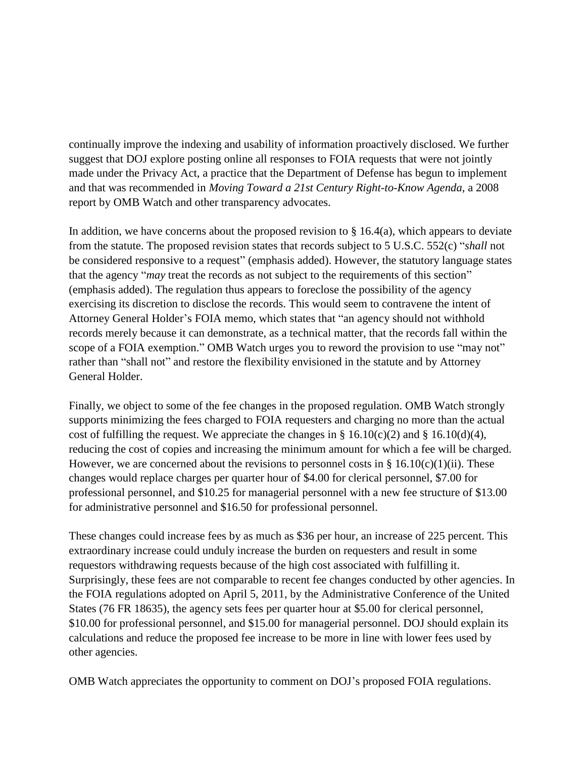continually improve the indexing and usability of information proactively disclosed. We further suggest that DOJ explore posting online all responses to FOIA requests that were not jointly made under the Privacy Act, a practice that the Department of Defense has begun to implement and that was recommended in *Moving Toward a 21st Century Right-to-Know Agenda*, a 2008 report by OMB Watch and other transparency advocates.

In addition, we have concerns about the proposed revision to  $\S 16.4(a)$ , which appears to deviate from the statute. The proposed revision states that records subject to 5 U.S.C. 552(c) "*shall* not be considered responsive to a request" (emphasis added). However, the statutory language states that the agency "*may* treat the records as not subject to the requirements of this section" (emphasis added). The regulation thus appears to foreclose the possibility of the agency exercising its discretion to disclose the records. This would seem to contravene the intent of Attorney General Holder's FOIA memo, which states that "an agency should not withhold records merely because it can demonstrate, as a technical matter, that the records fall within the scope of a FOIA exemption." OMB Watch urges you to reword the provision to use "may not" rather than "shall not" and restore the flexibility envisioned in the statute and by Attorney General Holder.

Finally, we object to some of the fee changes in the proposed regulation. OMB Watch strongly supports minimizing the fees charged to FOIA requesters and charging no more than the actual cost of fulfilling the request. We appreciate the changes in § 16.10(c)(2) and § 16.10(d)(4), reducing the cost of copies and increasing the minimum amount for which a fee will be charged. However, we are concerned about the revisions to personnel costs in § 16.10(c)(1)(ii). These changes would replace charges per quarter hour of \$4.00 for clerical personnel, \$7.00 for professional personnel, and \$10.25 for managerial personnel with a new fee structure of \$13.00 for administrative personnel and \$16.50 for professional personnel.

These changes could increase fees by as much as \$36 per hour, an increase of 225 percent. This extraordinary increase could unduly increase the burden on requesters and result in some requestors withdrawing requests because of the high cost associated with fulfilling it. Surprisingly, these fees are not comparable to recent fee changes conducted by other agencies. In the FOIA regulations adopted on April 5, 2011, by the Administrative Conference of the United States (76 FR 18635), the agency sets fees per quarter hour at \$5.00 for clerical personnel, \$10.00 for professional personnel, and \$15.00 for managerial personnel. DOJ should explain its calculations and reduce the proposed fee increase to be more in line with lower fees used by other agencies.

OMB Watch appreciates the opportunity to comment on DOJ's proposed FOIA regulations.